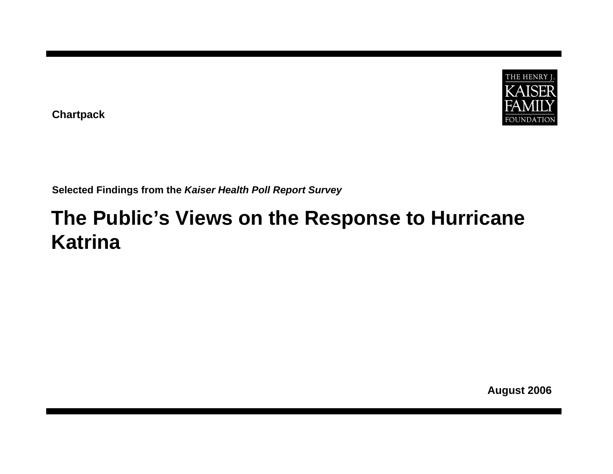

**Chartpack**

**Selected Findings from the** *Kaiser Health Poll Report Survey*

# **The Public's Views on the Response to Hurricane Katrina**

**August 2006**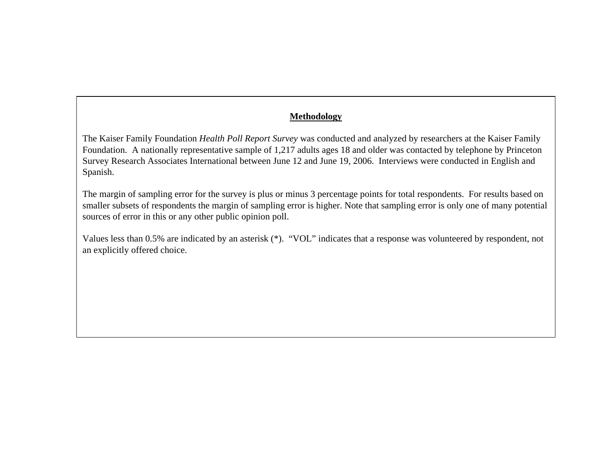#### **Methodology**

The Kaiser Family Foundation *Health Poll Report Survey* was conducted and analyzed by researchers at the Kaiser Family Foundation. A nationally representative sample of 1,217 adults ages 18 and older was contacted by telephone by Princeton Survey Research Associates International between June 12 and June 19, 2006. Interviews were conducted in English and Spanish.

The margin of sampling error for the survey is plus or minus 3 percentage points for total respondents. For results based on smaller subsets of respondents the margin of sampling error is higher. Note that sampling error is only one of many potential sources of error in this or any other public opinion poll.

Values less than 0.5% are indicated by an asterisk (\*). "VOL" indicates that a response was volunteered by respondent, not an explicitly offered choice.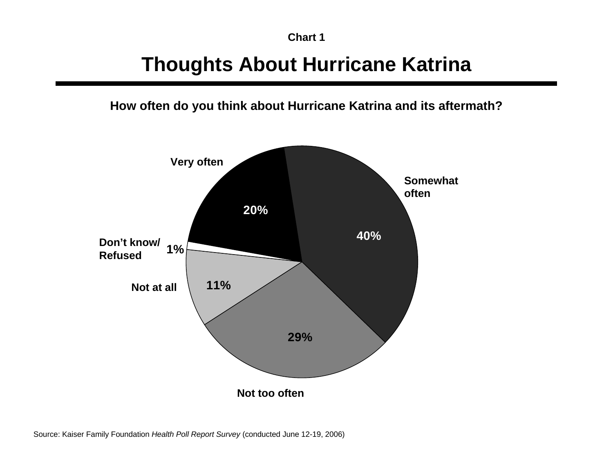## **Thoughts About Hurricane Katrina**

**How often do you think about Hurricane Katrina and its aftermath?** 

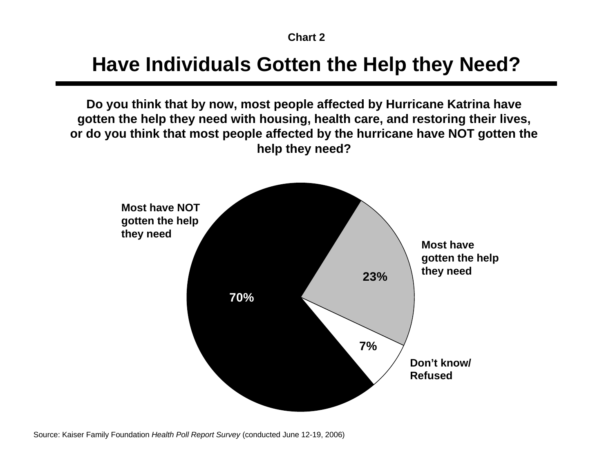#### **Have Individuals Gotten the Help they Need?**

**Do you think that by now, most people affected by Hurricane Katrina have gotten the help they need with housing, health care, and restoring their lives, or do you think that most people affected by the hurricane have NOT gotten the help they need?**

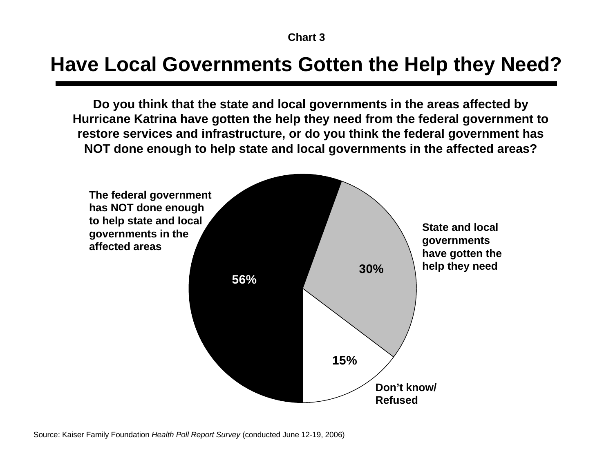#### **Have Local Governments Gotten the Help they Need?**

**Do you think that the state and local governments in the areas affected by Hurricane Katrina have gotten the help they need from the federal government to restore services and infrastructure, or do you think the federal government has NOT done enough to help state and local governments in the affected areas?** 

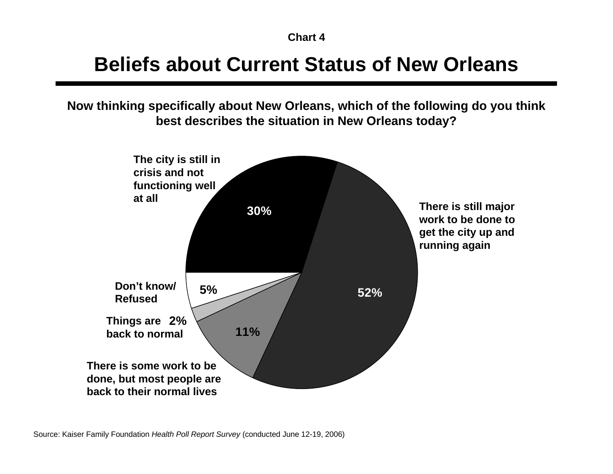#### **Beliefs about Current Status of New Orleans**

**Now thinking specifically about New Orleans, which of the following do you think best describes the situation in New Orleans today?**

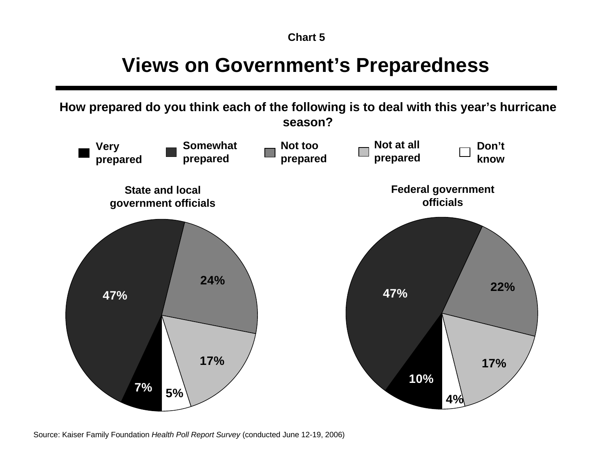#### **Chart 5**

### **Views on Government's Preparedness**

**How prepared do you think each of the following is to deal with this year's hurricane season?** 



Source: Kaiser Family Foundation *Health Poll Report Survey* (conducted June 12-19, 2006)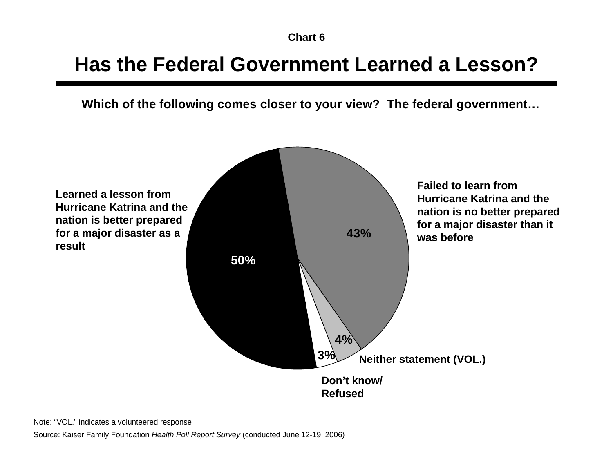### **Has the Federal Government Learned a Lesson?**

**Which of the following comes closer to your view? The federal government…**



Note: "VOL." indicates a volunteered response

Source: Kaiser Family Foundation *Health Poll Report Survey* (conducted June 12-19, 2006)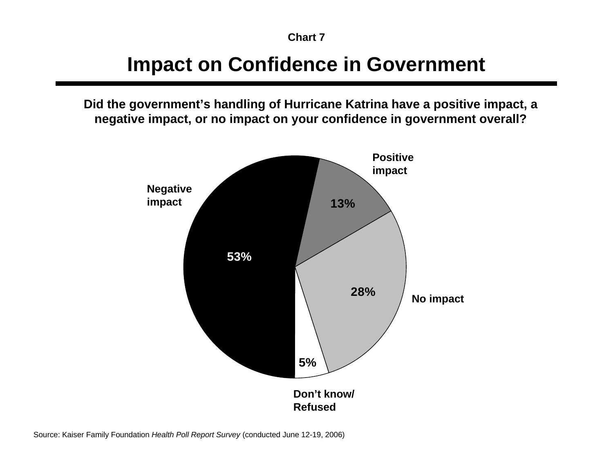### **Impact on Confidence in Government**

**Did the government's handling of Hurricane Katrina have a positive impact, a negative impact, or no impact on your confidence in government overall?**

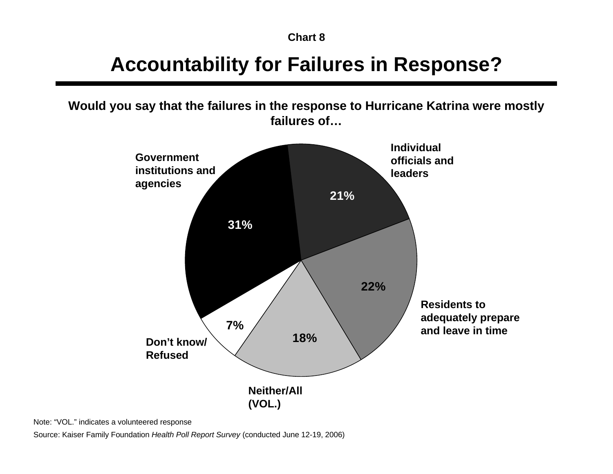## **Accountability for Failures in Response?**

**Would you say that the failures in the response to Hurricane Katrina were mostly failures of…**



Note: "VOL." indicates a volunteered response

Source: Kaiser Family Foundation *Health Poll Report Survey* (conducted June 12-19, 2006)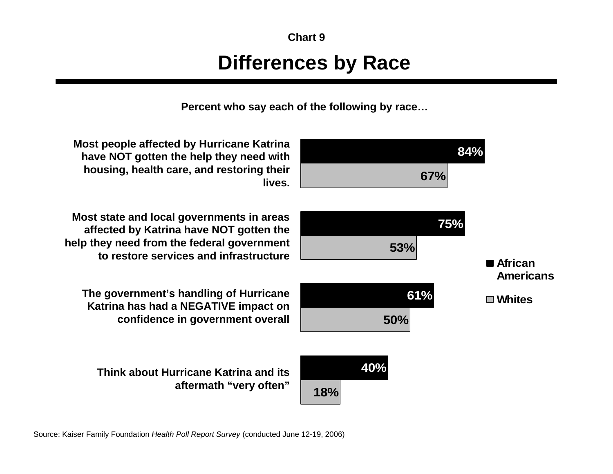# **Chart 9Differences by Race**

**Percent who say each of the following by race…**